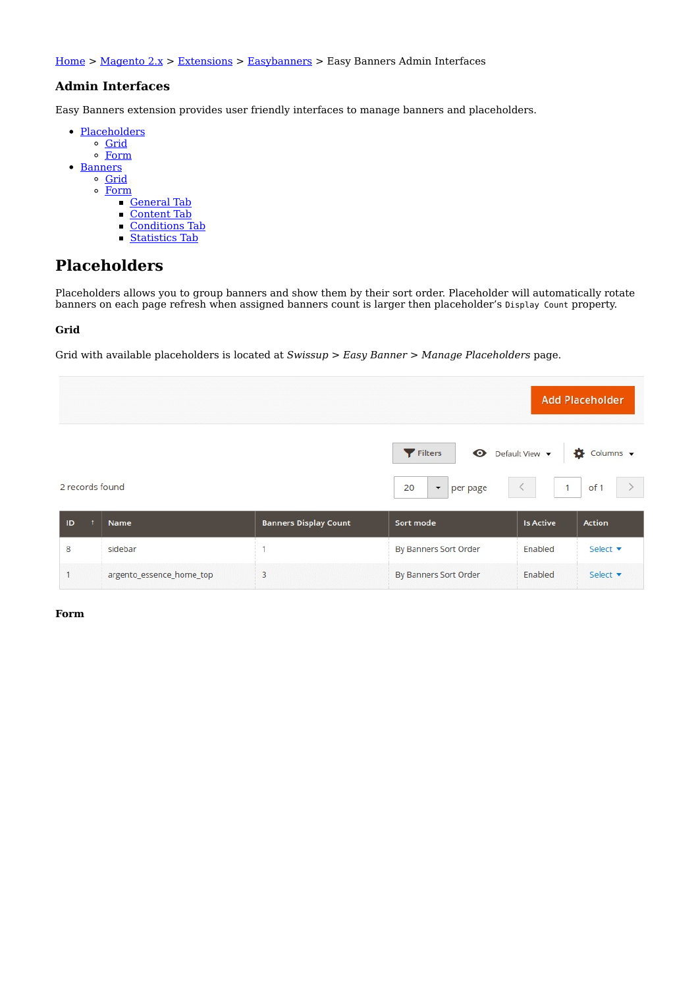Home > Magento 2.x > Extensions > Easybanners > Easy Banners Admin Interfaces

## **Admin Interfaces**

Easy Banners extension provides user friendly interfaces to manage banners and placeholders.

- Placeholders
	- o Grid
	- $\circ$  Form
- Banners
	- o Grid
	- Form
		- **General Tab**
		- Content Tab
		- Conditions Tab  $\blacksquare$
		- Statistics Tab  $\blacksquare$

# **Placeholders**

Placeholders allows you to group banners and show them by their sort order. Placeholder will automatically rotate banners on each page refresh when assigned banners count is larger then placeholder's Display Count property.

## **Grid**

Grid with available placeholders is located at *Swissup > Easy Banner > Manage Placeholders* page.



| <b>ID</b> | <b>Name</b>              | <b>Banners Display Count</b> | Sort mode             | <b>Is Active</b> | <b>Action</b> |
|-----------|--------------------------|------------------------------|-----------------------|------------------|---------------|
|           | sidebar                  |                              | By Banners Sort Order | Enabled          | Select v      |
|           | argento_essence_home_top |                              | By Banners Sort Order | Enabled          | Select v      |

## **Form**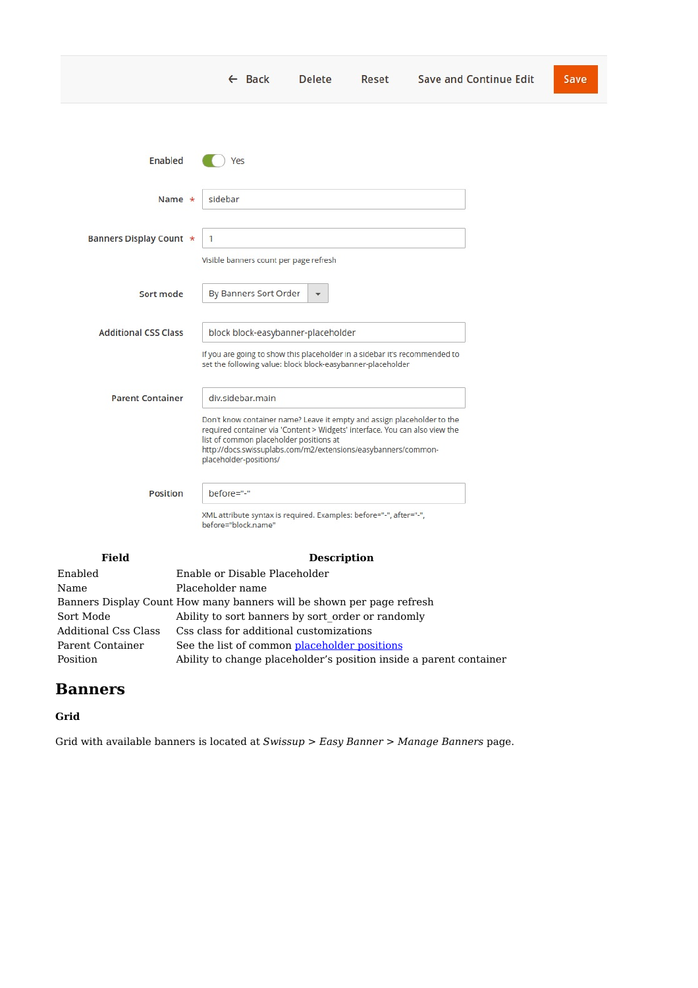|                             | $\leftarrow$ Back                                                                                                                                                                                                                                                                            | <b>Delete</b>      | Reset | <b>Save and Continue Edit</b> | Save |
|-----------------------------|----------------------------------------------------------------------------------------------------------------------------------------------------------------------------------------------------------------------------------------------------------------------------------------------|--------------------|-------|-------------------------------|------|
| Enabled                     | Yes                                                                                                                                                                                                                                                                                          |                    |       |                               |      |
| Name $\star$                | sidebar                                                                                                                                                                                                                                                                                      |                    |       |                               |      |
| Banners Display Count *     | $\mathbf{1}$<br>Visible banners count per page refresh                                                                                                                                                                                                                                       |                    |       |                               |      |
| Sort mode                   | By Banners Sort Order                                                                                                                                                                                                                                                                        |                    |       |                               |      |
| <b>Additional CSS Class</b> | block block-easybanner-placeholder<br>If you are going to show this placeholder in a sidebar it's recommended to                                                                                                                                                                             |                    |       |                               |      |
| <b>Parent Container</b>     | set the following value: block block-easybanner-placeholder<br>div.sidebar.main                                                                                                                                                                                                              |                    |       |                               |      |
|                             | Don't know container name? Leave it empty and assign placeholder to the<br>required container via 'Content > Widgets' interface. You can also view the<br>list of common placeholder positions at<br>http://docs.swissuplabs.com/m2/extensions/easybanners/common-<br>placeholder-positions/ |                    |       |                               |      |
| Position                    | before="-"                                                                                                                                                                                                                                                                                   |                    |       |                               |      |
|                             | XML attribute syntax is required. Examples: before="-", after="-",<br>before="block.name"                                                                                                                                                                                                    |                    |       |                               |      |
| <b>Field</b>                |                                                                                                                                                                                                                                                                                              | <b>Description</b> |       |                               |      |
|                             |                                                                                                                                                                                                                                                                                              |                    |       |                               |      |

| Name                 | Placeholder name                                                      |
|----------------------|-----------------------------------------------------------------------|
|                      | Banners Display Count How many banners will be shown per page refresh |
| Sort Mode            | Ability to sort banners by sort order or randomly                     |
| Additional Css Class | Css class for additional customizations                               |
| Parent Container     | See the list of common placeholder positions                          |
| Position             | Ability to change placeholder's position inside a parent container    |
|                      |                                                                       |

# **Banners**

## **Grid**

Grid with available banners is located at *Swissup > Easy Banner > Manage Banners* page.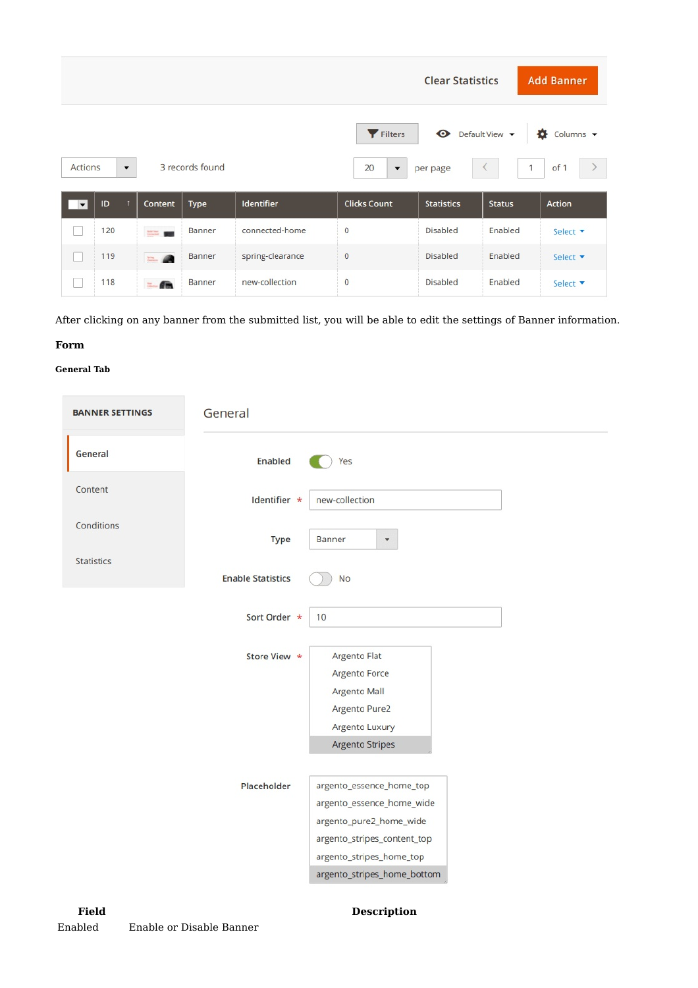|                          | <b>Clear Statistics</b><br><b>Add Banner</b>                                                                                                                                     |                  |             |                  |                     |                   |               |                 |
|--------------------------|----------------------------------------------------------------------------------------------------------------------------------------------------------------------------------|------------------|-------------|------------------|---------------------|-------------------|---------------|-----------------|
|                          | Default View v<br>Filters<br>۰<br>Columns v<br>3 records found<br>of 1<br>Actions<br>$\mathbf{1}$<br>20<br>$\langle$<br>per page<br>$\blacktriangledown$<br>$\blacktriangledown$ |                  |             |                  |                     |                   |               |                 |
|                          |                                                                                                                                                                                  |                  |             |                  |                     |                   |               |                 |
| $\overline{\phantom{a}}$ | ID                                                                                                                                                                               | <b>Content</b>   | <b>Type</b> | Identifier       | <b>Clicks Count</b> | <b>Statistics</b> | <b>Status</b> | Action          |
|                          | 120                                                                                                                                                                              | <b>1000 1000</b> | Banner      | connected-home   | $\circ$             | Disabled          | Enabled       | Select ▼        |
|                          | 119                                                                                                                                                                              | $= 0$            | Banner      | spring-clearance | $\circ$             | Disabled          | Enabled       | Select <b>v</b> |

After clicking on any banner from the submitted list, you will be able to edit the settings of Banner information.

## **Form**

## **General Tab**

| <b>BANNER SETTINGS</b> | General                  |                                                                                                                                                                            |  |
|------------------------|--------------------------|----------------------------------------------------------------------------------------------------------------------------------------------------------------------------|--|
| General                | Enabled                  | Yes                                                                                                                                                                        |  |
| Content                | Identifier *             | new-collection                                                                                                                                                             |  |
| Conditions             | <b>Type</b>              | Banner<br>$\blacktriangledown$                                                                                                                                             |  |
| <b>Statistics</b>      | <b>Enable Statistics</b> | No                                                                                                                                                                         |  |
|                        | Sort Order *             | 10                                                                                                                                                                         |  |
|                        | Store View *             | Argento Flat<br>Argento Force<br>Argento Mall<br>Argento Pure2<br>Argento Luxury                                                                                           |  |
|                        |                          | <b>Argento Stripes</b>                                                                                                                                                     |  |
|                        | Placeholder              | argento_essence_home_top<br>argento_essence_home_wide<br>argento_pure2_home_wide<br>argento_stripes_content_top<br>argento_stripes_home_top<br>argento_stripes_home_bottom |  |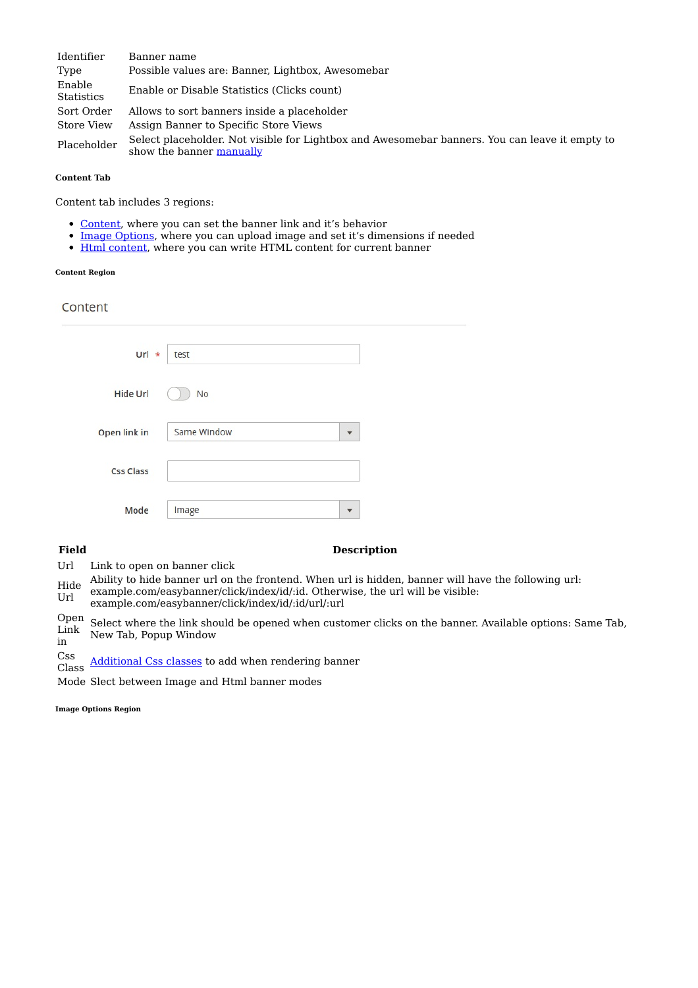| Identifier                  | Banner name                                                                                                                |
|-----------------------------|----------------------------------------------------------------------------------------------------------------------------|
| Type                        | Possible values are: Banner, Lightbox, Awesomebar                                                                          |
| Enable<br><b>Statistics</b> | Enable or Disable Statistics (Clicks count)                                                                                |
| Sort Order                  | Allows to sort banners inside a placeholder                                                                                |
| Store View                  | Assign Banner to Specific Store Views                                                                                      |
| Placeholder                 | Select placeholder. Not visible for Lightbox and Awesomebar banners. You can leave it empty to<br>show the banner manually |

## **Content Tab**

Content tab includes 3 regions:

- Content, where you can set the banner link and it's behavior
- Image Options, where you can upload image and set it's dimensions if needed  $\bullet$
- Html content, where you can write HTML content for current banner  $\bullet$

## **Content Region**

## Content

| Url $\star$      | test                                   |
|------------------|----------------------------------------|
| <b>Hide Url</b>  | <b>No</b>                              |
| Open link in     | Same Window<br>$\overline{\mathbf{v}}$ |
| <b>Css Class</b> |                                        |
| Mode             | Image<br>▼                             |

## **Field Description**

Url Link to open on banner click

Hide Ability to hide banner url on the frontend. When url is hidden, banner will have the following url:

- Url example.com/easybanner/click/index/id/:id. Otherwise, the url will be visible:
- example.com/easybanner/click/index/id/:id/url/:url

Open Link in Select where the link should be opened when customer clicks on the banner. Available options: Same Tab, New Tab, Popup Window

Css

Class Additional Css classes to add when rendering banner

Mode Slect between Image and Html banner modes

**Image Options Region**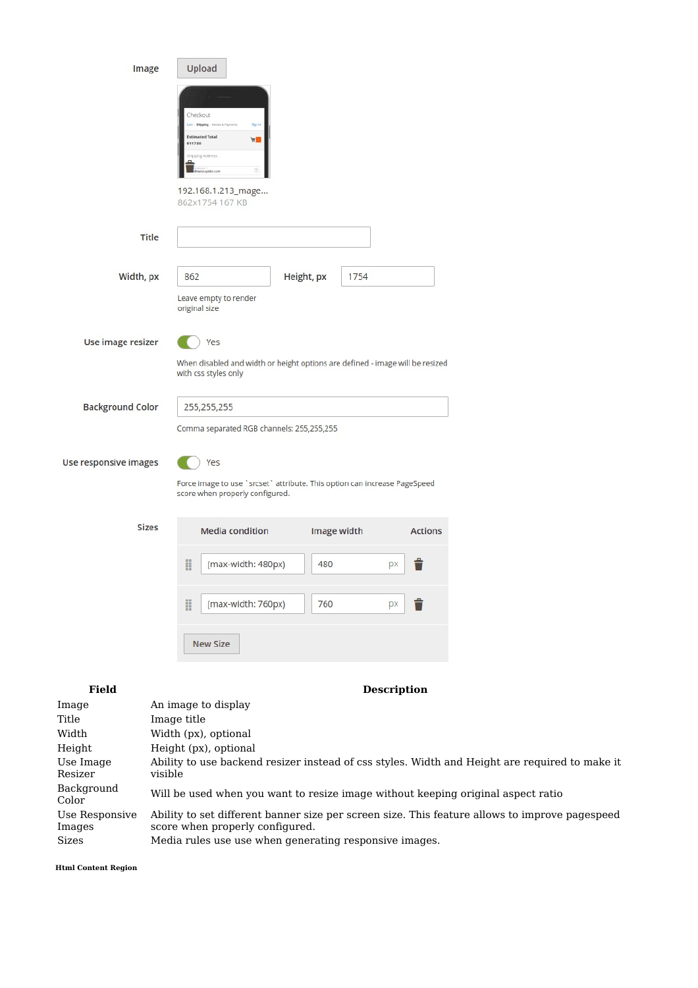|                                                           | Image                  | Upload<br>Checkout<br>Shipp<br>Signi<br><b>Estimated Total</b><br>$\overline{\mathbf{u}}$<br>\$117.50               |             |                    |                |                                                                                                |
|-----------------------------------------------------------|------------------------|---------------------------------------------------------------------------------------------------------------------|-------------|--------------------|----------------|------------------------------------------------------------------------------------------------|
|                                                           |                        | hioping Address<br>uplatis zon<br>192.168.1.213_mage<br>862x1754 167 KB                                             |             |                    |                |                                                                                                |
|                                                           | <b>Title</b>           |                                                                                                                     |             |                    |                |                                                                                                |
| Width, px                                                 |                        | 862                                                                                                                 | Height, px  | 1754               |                |                                                                                                |
|                                                           |                        | Leave empty to render<br>original size                                                                              |             |                    |                |                                                                                                |
| Use image resizer                                         |                        | Yes<br>When disabled and width or height options are defined - image will be resized<br>with css styles only        |             |                    |                |                                                                                                |
| <b>Background Color</b>                                   |                        | 255,255,255                                                                                                         |             |                    |                |                                                                                                |
|                                                           |                        | Comma separated RGB channels: 255,255,255                                                                           |             |                    |                |                                                                                                |
| Use responsive images                                     |                        | Yes<br>Force image to use `srcset` attribute. This option can increase PageSpeed<br>score when properly configured. |             |                    |                |                                                                                                |
|                                                           | <b>Sizes</b>           | <b>Media condition</b>                                                                                              | Image width |                    | <b>Actions</b> |                                                                                                |
|                                                           |                        | H<br>(max-width: 480px)                                                                                             | 480         | px                 | ■              |                                                                                                |
|                                                           |                        | H<br>(max-width: 760px)                                                                                             | 760         | px                 | Ê              |                                                                                                |
|                                                           |                        | <b>New Size</b>                                                                                                     |             |                    |                |                                                                                                |
| <b>Field</b>                                              |                        |                                                                                                                     |             | <b>Description</b> |                |                                                                                                |
| Image<br>Title<br>Width<br>Height<br>Use Image<br>Resizer | Image title<br>visible | An image to display<br>Width (px), optional<br>Height (px), optional                                                |             |                    |                | Ability to use backend resizer instead of css styles. Width and Height are required to make it |
| Background<br>Color                                       |                        |                                                                                                                     |             |                    |                | Will be used when you want to resize image without keeping original aspect ratio               |
| Use Responsive<br>Images                                  |                        | score when properly configured.                                                                                     |             |                    |                | Ability to set different banner size per screen size. This feature allows to improve pagespeed |

Sizes Media rules use use when generating responsive images.

**Html Content Region**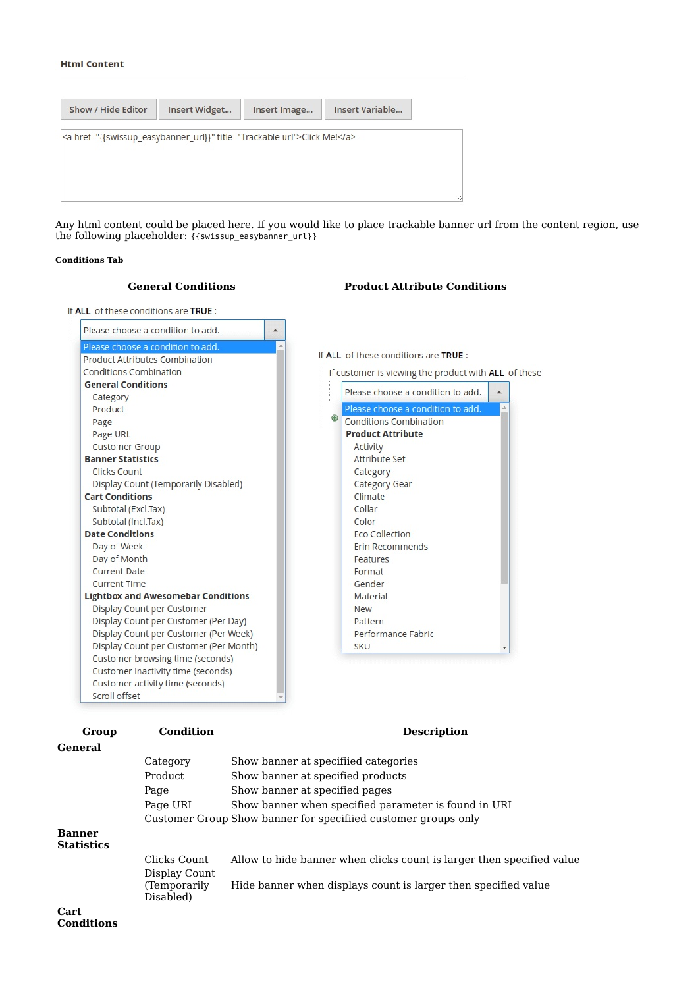## **Html Content**

| Show / Hide Editor | Insert Widget                                                            | Insert Image | Insert Variable |
|--------------------|--------------------------------------------------------------------------|--------------|-----------------|
|                    |                                                                          |              |                 |
|                    | <a href="{{swissup_easybanner_url}}" title="Trackable url">Click Me!</a> |              |                 |
|                    |                                                                          |              |                 |
|                    |                                                                          |              |                 |
|                    |                                                                          |              |                 |
|                    |                                                                          |              |                 |

Any html content could be placed here. If you would like to place trackable banner url from the content region, use the following placeholder: {{swissup\_easybanner\_url}}

#### **Conditions Tab**



**General** Category Show banner at specifiied categories Product Show banner at specified products Page Show banner at specified pages Page URL Show banner when specified parameter is found in URL Customer Group Show banner for specifiied customer groups only **Banner**

**Statistics**

| Clicks Count                                | Allow to hide banner when clicks count is larger then specified value |
|---------------------------------------------|-----------------------------------------------------------------------|
| Display Count<br>(Temporarily)<br>Disabled) | Hide banner when displays count is larger then specified value        |

#### **Cart Conditions**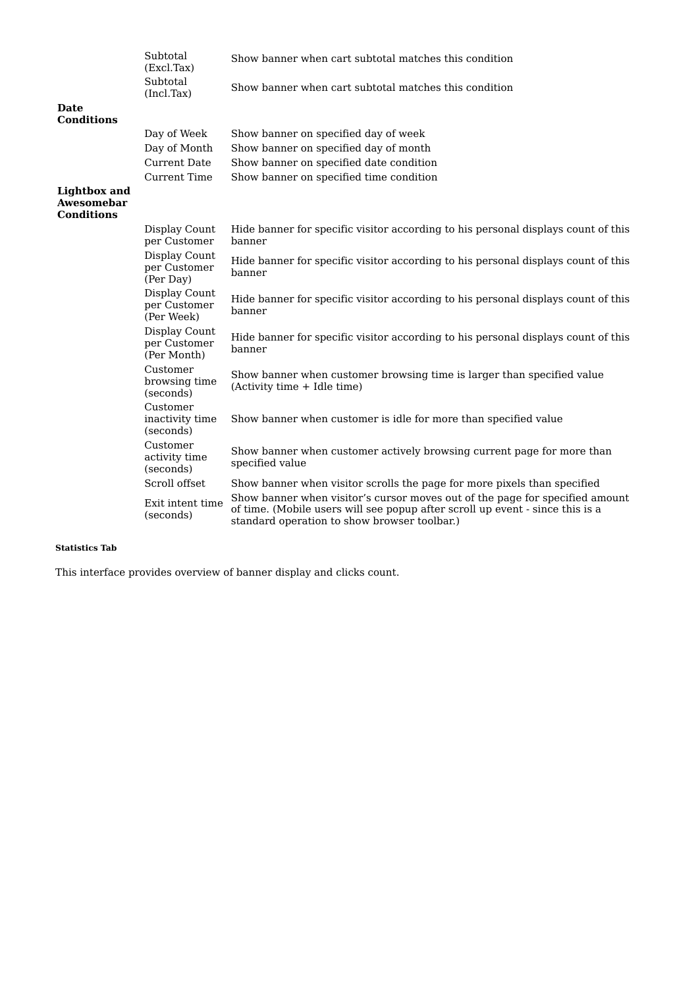|                                          | Subtotal<br>(Excl.Tax)                       | Show banner when cart subtotal matches this condition                                                                                                                                                         |
|------------------------------------------|----------------------------------------------|---------------------------------------------------------------------------------------------------------------------------------------------------------------------------------------------------------------|
|                                          | Subtotal<br>(Incl.Tax)                       | Show banner when cart subtotal matches this condition                                                                                                                                                         |
| Date<br>Conditions                       |                                              |                                                                                                                                                                                                               |
|                                          | Day of Week                                  | Show banner on specified day of week                                                                                                                                                                          |
|                                          | Day of Month                                 | Show banner on specified day of month                                                                                                                                                                         |
|                                          | <b>Current Date</b>                          | Show banner on specified date condition                                                                                                                                                                       |
|                                          | <b>Current Time</b>                          | Show banner on specified time condition                                                                                                                                                                       |
| Lightbox and<br>Awesomebar<br>Conditions |                                              |                                                                                                                                                                                                               |
|                                          | Display Count<br>per Customer                | Hide banner for specific visitor according to his personal displays count of this<br>banner                                                                                                                   |
|                                          | Display Count<br>per Customer<br>(Per Day)   | Hide banner for specific visitor according to his personal displays count of this<br>banner                                                                                                                   |
|                                          | Display Count<br>per Customer<br>(Per Week)  | Hide banner for specific visitor according to his personal displays count of this<br>banner                                                                                                                   |
|                                          | Display Count<br>per Customer<br>(Per Month) | Hide banner for specific visitor according to his personal displays count of this<br>banner                                                                                                                   |
|                                          | Customer<br>browsing time<br>(seconds)       | Show banner when customer browsing time is larger than specified value<br>(Activity time + Idle time)                                                                                                         |
|                                          | Customer<br>inactivity time<br>(seconds)     | Show banner when customer is idle for more than specified value                                                                                                                                               |
|                                          | Customer<br>activity time<br>(seconds)       | Show banner when customer actively browsing current page for more than<br>specified value                                                                                                                     |
|                                          | Scroll offset                                | Show banner when visitor scrolls the page for more pixels than specified                                                                                                                                      |
|                                          | Exit intent time<br>(seconds)                | Show banner when visitor's cursor moves out of the page for specified amount<br>of time. (Mobile users will see popup after scroll up event - since this is a<br>standard operation to show browser toolbar.) |

## **Statistics Tab**

This interface provides overview of banner display and clicks count.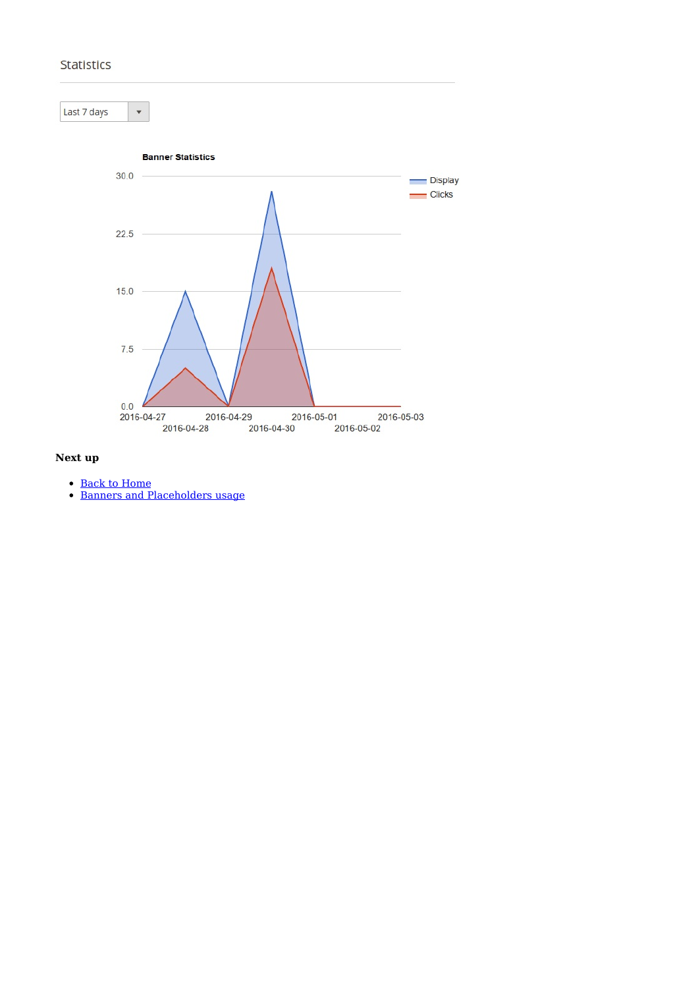## **Statistics**



## **Next up**

- Back to Home
- Banners and Placeholders usage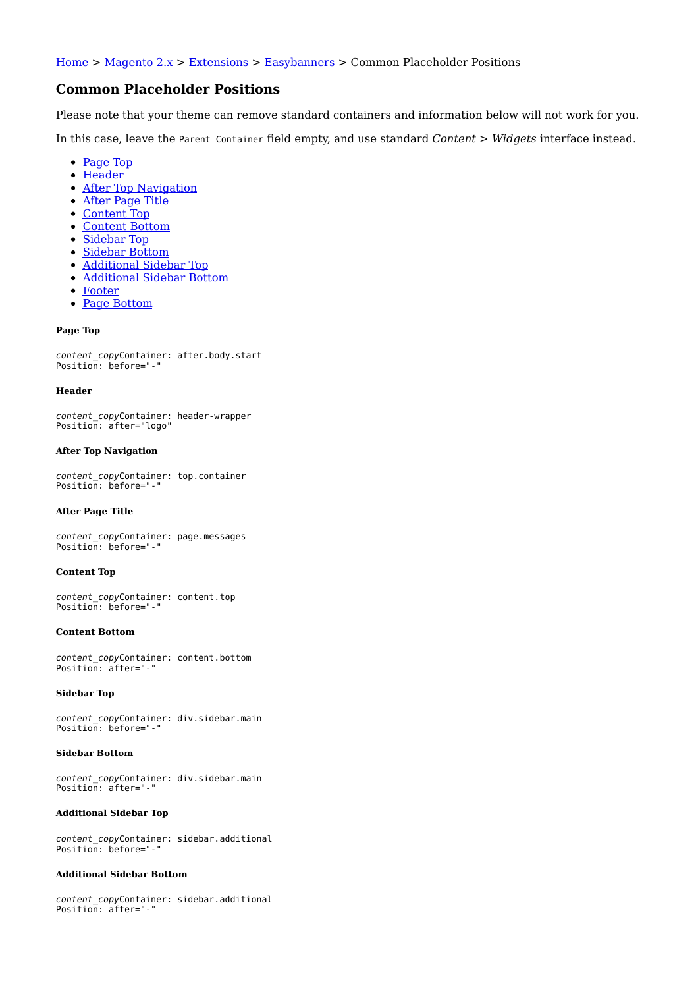Home > Magento 2.x > Extensions > Easybanners > Common Placeholder Positions

## **Common Placeholder Positions**

Please note that your theme can remove standard containers and information below will not work for you.

In this case, leave the Parent Container field empty, and use standard *Content > Widgets* interface instead.

- Page Top
- Header
- After Top Navigation
- After Page Title
- Content Top
- Content Bottom
- Sidebar Top
- Sidebar Bottom
- Additional Sidebar Top
- Additional Sidebar Bottom
- Footer
- Page Bottom

## **Page Top**

content copyContainer: after.body.start Position: before="-"

#### **Header**

content copyContainer: header-wrapper Position: after="logo"

#### **After Top Navigation**

content\_copyContainer: top.container Position: before="-"

#### **After Page Title**

content copyContainer: page.messages Position: before="-"

#### **Content Top**

content copyContainer: content.top Position: before=" $-$ 

#### **Content Bottom**

content\_copyContainer: content.bottom Position: after="-"

## **Sidebar Top**

content copyContainer: div.sidebar.main Position: before="-"

#### **Sidebar Bottom**

content copyContainer: div.sidebar.main Position: after="-"

## **Additional Sidebar Top**

content copyContainer: sidebar.additional Position: before="-"

## **Additional Sidebar Bottom**

content copyContainer: sidebar.additional Position: after="-"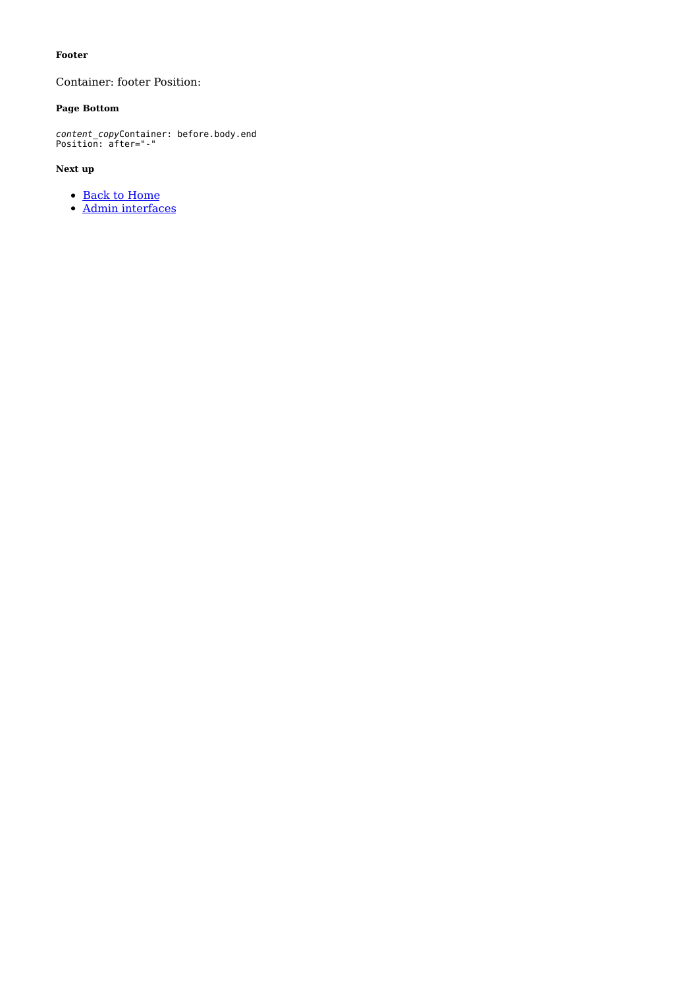## **Footer**

Container: footer Position:

## **Page Bottom**

content copyContainer: before.body.end Position: after="-"

## **Next up**

- Back to Home
- Admin interfaces